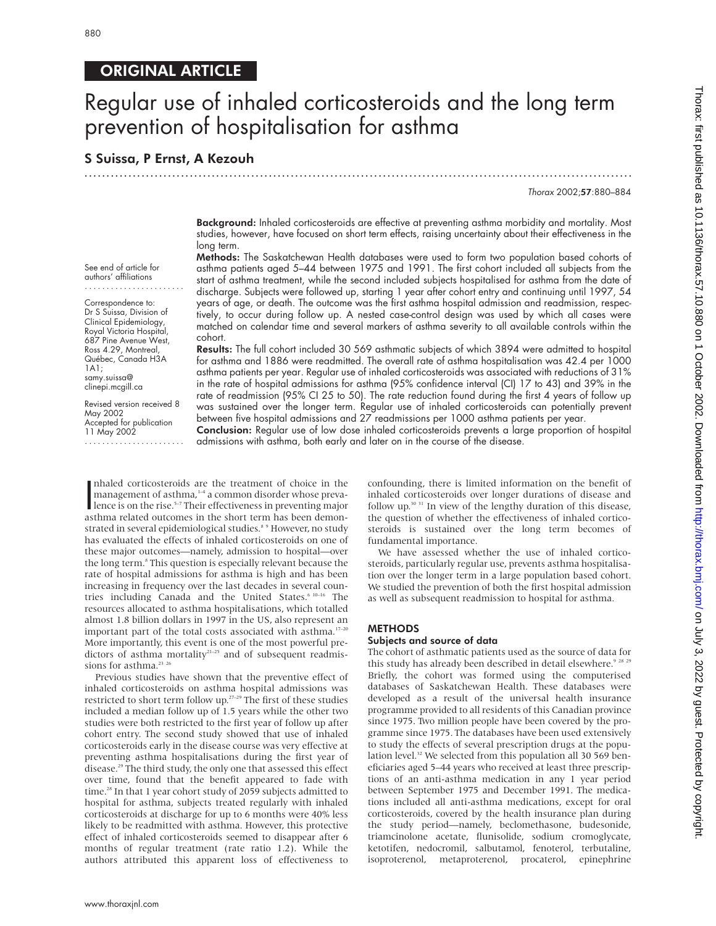# ORIGINAL ARTICLE

# Regular use of inhaled corticosteroids and the long term prevention of hospitalisation for asthma

.............................................................................................................................

## S Suissa, P Ernst, A Kezouh

Thorax 2002;57:880–884

Background: Inhaled corticosteroids are effective at preventing asthma morbidity and mortality. Most studies, however, have focused on short term effects, raising uncertainty about their effectiveness in the long term.

See end of article for authors' affiliations .......................

Correspondence to: Dr S Suissa, Division of Clinical Epidemiology, Royal Victoria Hospital, 687 Pine Avenue West, Ross 4.29, Montreal, Québec, Canada H3A 1A1; samy.suissa@ clinepi.mcgill.ca

Revised version received 8 May 2002 Accepted for publication 11 May 2002

Methods: The Saskatchewan Health databases were used to form two population based cohorts of asthma patients aged 5–44 between 1975 and 1991. The first cohort included all subjects from the start of asthma treatment, while the second included subjects hospitalised for asthma from the date of discharge. Subjects were followed up, starting 1 year after cohort entry and continuing until 1997, 54 years of age, or death. The outcome was the first asthma hospital admission and readmission, respectively, to occur during follow up. A nested case-control design was used by which all cases were matched on calendar time and several markers of asthma severity to all available controls within the cohort.

Results: The full cohort included 30 569 asthmatic subjects of which 3894 were admitted to hospital for asthma and 1886 were readmitted. The overall rate of asthma hospitalisation was 42.4 per 1000 asthma patients per year. Regular use of inhaled corticosteroids was associated with reductions of 31% in the rate of hospital admissions for asthma (95% confidence interval (CI) 17 to 43) and 39% in the rate of readmission (95% CI 25 to 50). The rate reduction found during the first 4 years of follow up was sustained over the longer term. Regular use of inhaled corticosteroids can potentially prevent between five hospital admissions and 27 readmissions per 1000 asthma patients per year.

Conclusion: Regular use of low dose inhaled corticosteroids prevents a large proportion of hospital admissions with asthma, both early and later on in the course of the disease.

Inhaled corticosteroids are the treatment of choice in the<br>
management of asthma,<sup>1-4</sup> a common disorder whose preva-<br>
lence is on the rise.<sup>5-7</sup> Their effectiveness in preventing major<br>
asthma related outcomes in the sho nhaled corticosteroids are the treatment of choice in the management of asthma,  $14$  a common disorder whose prevaasthma related outcomes in the short term has been demonstrated in several epidemiological studies.<sup>8</sup> <sup>9</sup> However, no study has evaluated the effects of inhaled corticosteroids on one of these major outcomes—namely, admission to hospital—over the long term.8 This question is especially relevant because the rate of hospital admissions for asthma is high and has been increasing in frequency over the last decades in several countries including Canada and the United States.<sup>6 10–16</sup> The resources allocated to asthma hospitalisations, which totalled almost 1.8 billion dollars in 1997 in the US, also represent an important part of the total costs associated with asthma.<sup>17-20</sup> More importantly, this event is one of the most powerful predictors of asthma mortality<sup>21-25</sup> and of subsequent readmissions for asthma.<sup>23</sup> <sup>26</sup>

Previous studies have shown that the preventive effect of inhaled corticosteroids on asthma hospital admissions was restricted to short term follow up.27–29 The first of these studies included a median follow up of 1.5 years while the other two studies were both restricted to the first year of follow up after cohort entry. The second study showed that use of inhaled corticosteroids early in the disease course was very effective at preventing asthma hospitalisations during the first year of disease.29 The third study, the only one that assessed this effect over time, found that the benefit appeared to fade with time.<sup>28</sup> In that 1 year cohort study of 2059 subjects admitted to hospital for asthma, subjects treated regularly with inhaled corticosteroids at discharge for up to 6 months were 40% less likely to be readmitted with asthma. However, this protective effect of inhaled corticosteroids seemed to disappear after 6 months of regular treatment (rate ratio 1.2). While the authors attributed this apparent loss of effectiveness to

confounding, there is limited information on the benefit of inhaled corticosteroids over longer durations of disease and follow up.30 31 In view of the lengthy duration of this disease, the question of whether the effectiveness of inhaled corticosteroids is sustained over the long term becomes of fundamental importance.

We have assessed whether the use of inhaled corticosteroids, particularly regular use, prevents asthma hospitalisation over the longer term in a large population based cohort. We studied the prevention of both the first hospital admission as well as subsequent readmission to hospital for asthma.

### **METHODS**

#### Subjects and source of data

The cohort of asthmatic patients used as the source of data for this study has already been described in detail elsewhere.<sup>9 28 29</sup> Briefly, the cohort was formed using the computerised databases of Saskatchewan Health. These databases were developed as a result of the universal health insurance programme provided to all residents of this Canadian province since 1975. Two million people have been covered by the programme since 1975. The databases have been used extensively to study the effects of several prescription drugs at the population level.<sup>32</sup> We selected from this population all 30 569 beneficiaries aged 5–44 years who received at least three prescriptions of an anti-asthma medication in any 1 year period between September 1975 and December 1991. The medications included all anti-asthma medications, except for oral corticosteroids, covered by the health insurance plan during the study period—namely, beclomethasone, budesonide, triamcinolone acetate, flunisolide, sodium cromoglycate, ketotifen, nedocromil, salbutamol, fenoterol, terbutaline, isoproterenol, metaproterenol, procaterol, epinephrine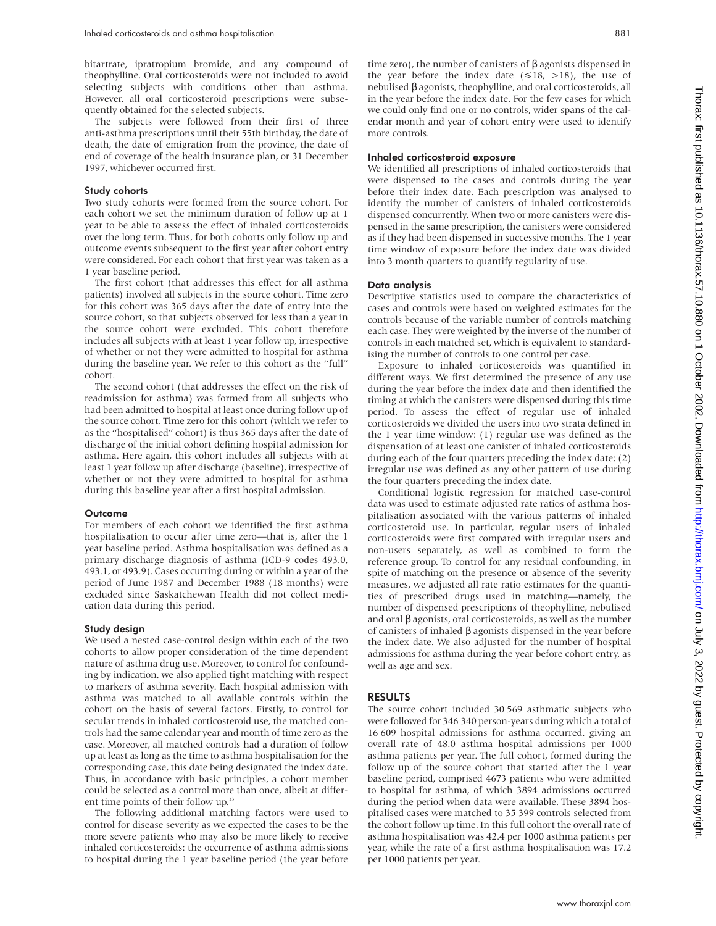bitartrate, ipratropium bromide, and any compound of theophylline. Oral corticosteroids were not included to avoid selecting subjects with conditions other than asthma. However, all oral corticosteroid prescriptions were subsequently obtained for the selected subjects.

The subjects were followed from their first of three anti-asthma prescriptions until their 55th birthday, the date of death, the date of emigration from the province, the date of end of coverage of the health insurance plan, or 31 December 1997, whichever occurred first.

#### Study cohorts

Two study cohorts were formed from the source cohort. For each cohort we set the minimum duration of follow up at 1 year to be able to assess the effect of inhaled corticosteroids over the long term. Thus, for both cohorts only follow up and outcome events subsequent to the first year after cohort entry were considered. For each cohort that first year was taken as a 1 year baseline period.

The first cohort (that addresses this effect for all asthma patients) involved all subjects in the source cohort. Time zero for this cohort was 365 days after the date of entry into the source cohort, so that subjects observed for less than a year in the source cohort were excluded. This cohort therefore includes all subjects with at least 1 year follow up, irrespective of whether or not they were admitted to hospital for asthma during the baseline year. We refer to this cohort as the "full" cohort.

The second cohort (that addresses the effect on the risk of readmission for asthma) was formed from all subjects who had been admitted to hospital at least once during follow up of the source cohort. Time zero for this cohort (which we refer to as the "hospitalised" cohort) is thus 365 days after the date of discharge of the initial cohort defining hospital admission for asthma. Here again, this cohort includes all subjects with at least 1 year follow up after discharge (baseline), irrespective of whether or not they were admitted to hospital for asthma during this baseline year after a first hospital admission.

#### **Outcome**

For members of each cohort we identified the first asthma hospitalisation to occur after time zero—that is, after the 1 year baseline period. Asthma hospitalisation was defined as a primary discharge diagnosis of asthma (ICD-9 codes 493.0, 493.1, or 493.9). Cases occurring during or within a year of the period of June 1987 and December 1988 (18 months) were excluded since Saskatchewan Health did not collect medication data during this period.

#### Study design

We used a nested case-control design within each of the two cohorts to allow proper consideration of the time dependent nature of asthma drug use. Moreover, to control for confounding by indication, we also applied tight matching with respect to markers of asthma severity. Each hospital admission with asthma was matched to all available controls within the cohort on the basis of several factors. Firstly, to control for secular trends in inhaled corticosteroid use, the matched controls had the same calendar year and month of time zero as the case. Moreover, all matched controls had a duration of follow up at least as long as the time to asthma hospitalisation for the corresponding case, this date being designated the index date. Thus, in accordance with basic principles, a cohort member could be selected as a control more than once, albeit at different time points of their follow up.<sup>33</sup>

The following additional matching factors were used to control for disease severity as we expected the cases to be the more severe patients who may also be more likely to receive inhaled corticosteroids: the occurrence of asthma admissions to hospital during the 1 year baseline period (the year before

time zero), the number of canisters of β agonists dispensed in the year before the index date  $(\leq 18, >18)$ , the use of nebulised β agonists, theophylline, and oral corticosteroids, all in the year before the index date. For the few cases for which we could only find one or no controls, wider spans of the calendar month and year of cohort entry were used to identify more controls.

#### Inhaled corticosteroid exposure

We identified all prescriptions of inhaled corticosteroids that were dispensed to the cases and controls during the year before their index date. Each prescription was analysed to identify the number of canisters of inhaled corticosteroids dispensed concurrently. When two or more canisters were dispensed in the same prescription, the canisters were considered as if they had been dispensed in successive months. The 1 year time window of exposure before the index date was divided into 3 month quarters to quantify regularity of use.

#### Data analysis

Descriptive statistics used to compare the characteristics of cases and controls were based on weighted estimates for the controls because of the variable number of controls matching each case. They were weighted by the inverse of the number of controls in each matched set, which is equivalent to standardising the number of controls to one control per case.

Exposure to inhaled corticosteroids was quantified in different ways. We first determined the presence of any use during the year before the index date and then identified the timing at which the canisters were dispensed during this time period. To assess the effect of regular use of inhaled corticosteroids we divided the users into two strata defined in the 1 year time window: (1) regular use was defined as the dispensation of at least one canister of inhaled corticosteroids during each of the four quarters preceding the index date; (2) irregular use was defined as any other pattern of use during the four quarters preceding the index date.

Conditional logistic regression for matched case-control data was used to estimate adjusted rate ratios of asthma hospitalisation associated with the various patterns of inhaled corticosteroid use. In particular, regular users of inhaled corticosteroids were first compared with irregular users and non-users separately, as well as combined to form the reference group. To control for any residual confounding, in spite of matching on the presence or absence of the severity measures, we adjusted all rate ratio estimates for the quantities of prescribed drugs used in matching—namely, the number of dispensed prescriptions of theophylline, nebulised and oral β agonists, oral corticosteroids, as well as the number of canisters of inhaled β agonists dispensed in the year before the index date. We also adjusted for the number of hospital admissions for asthma during the year before cohort entry, as well as age and sex.

#### RESULTS

The source cohort included 30 569 asthmatic subjects who were followed for 346 340 person-years during which a total of 16 609 hospital admissions for asthma occurred, giving an overall rate of 48.0 asthma hospital admissions per 1000 asthma patients per year. The full cohort, formed during the follow up of the source cohort that started after the 1 year baseline period, comprised 4673 patients who were admitted to hospital for asthma, of which 3894 admissions occurred during the period when data were available. These 3894 hospitalised cases were matched to 35 399 controls selected from the cohort follow up time. In this full cohort the overall rate of asthma hospitalisation was 42.4 per 1000 asthma patients per year, while the rate of a first asthma hospitalisation was 17.2 per 1000 patients per year.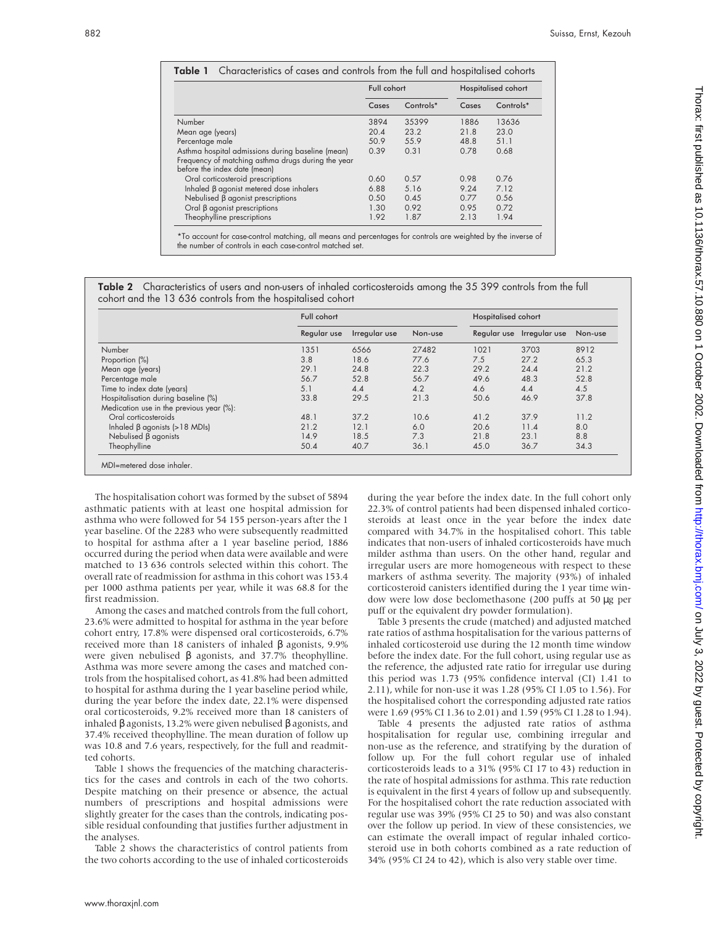|                                                                                                                                         | Full cohort |           | Hospitalised cohort |           |
|-----------------------------------------------------------------------------------------------------------------------------------------|-------------|-----------|---------------------|-----------|
|                                                                                                                                         | Cases       | Controls* | Cases               | Controls* |
| Number                                                                                                                                  | 3894        | 35399     | 1886                | 13636     |
| Mean age (years)                                                                                                                        | 20.4        | 23.2      | 21.8                | 23.0      |
| Percentage male                                                                                                                         | 50.9        | 55.9      | 48.8                | 51.1      |
| Asthma hospital admissions during baseline (mean)<br>Frequency of matching asthma drugs during the year<br>before the index date (mean) | 0.39        | 0.31      | 0.78                | 0.68      |
| Oral corticosteroid prescriptions                                                                                                       | 0.60        | 0.57      | 0.98                | 0.76      |
| Inhaled $\beta$ agonist metered dose inhalers                                                                                           | 6.88        | 5.16      | 9.24                | 7.12      |
| Nebulised $\beta$ agonist prescriptions                                                                                                 | 0.50        | 0.45      | 0.77                | 0.56      |
| Oral $\beta$ agonist prescriptions                                                                                                      | 1.30        | 0.92      | 0.95                | 0.72      |
| Theophylline prescriptions                                                                                                              | 1.92        | 1.87      | 2.13                | 1.94      |

the number of controls in each case-control matched set.

Table 2 Characteristics of users and non-users of inhaled corticosteroids among the 35 399 controls from the full cohort and the 13 636 controls from the hospitalised cohort

|                                          | Full cohort |               |         |             | Hospitalised cohort |         |  |
|------------------------------------------|-------------|---------------|---------|-------------|---------------------|---------|--|
|                                          | Regular use | Irregular use | Non-use | Regular use | Irregular use       | Non-use |  |
| Number                                   | 1351        | 6566          | 27482   | 1021        | 3703                | 8912    |  |
| Proportion (%)                           | 3.8         | 18.6          | 77.6    | 7.5         | 27.2                | 65.3    |  |
| Mean age (years)                         | 29.1        | 24.8          | 22.3    | 29.2        | 24.4                | 21.2    |  |
| Percentage male                          | 56.7        | 52.8          | 56.7    | 49.6        | 48.3                | 52.8    |  |
| Time to index date (years)               | 5.1         | 4.4           | 4.2     | 4.6         | 4.4                 | 4.5     |  |
| Hospitalisation during baseline (%)      | 33.8        | 29.5          | 21.3    | 50.6        | 46.9                | 37.8    |  |
| Medication use in the previous year (%): |             |               |         |             |                     |         |  |
| Oral corticosteroids                     | 48.1        | 37.2          | 10.6    | 41.2        | 37.9                | 11.2    |  |
| Inhaled $\beta$ agonists (>18 MDIs)      | 21.2        | 12.1          | 6.0     | 20.6        | 11.4                | 8.0     |  |
| Nebulised $\beta$ agonists               | 14.9        | 18.5          | 7.3     | 21.8        | 23.1                | 8.8     |  |
| Theophylline                             | 50.4        | 40.7          | 36.1    | 45.0        | 36.7                | 34.3    |  |

The hospitalisation cohort was formed by the subset of 5894 asthmatic patients with at least one hospital admission for asthma who were followed for 54 155 person-years after the 1 year baseline. Of the 2283 who were subsequently readmitted to hospital for asthma after a 1 year baseline period, 1886 occurred during the period when data were available and were matched to 13 636 controls selected within this cohort. The overall rate of readmission for asthma in this cohort was 153.4 per 1000 asthma patients per year, while it was 68.8 for the first readmission.

Among the cases and matched controls from the full cohort, 23.6% were admitted to hospital for asthma in the year before cohort entry, 17.8% were dispensed oral corticosteroids, 6.7% received more than 18 canisters of inhaled β agonists, 9.9% were given nebulised β agonists, and 37.7% theophylline. Asthma was more severe among the cases and matched controls from the hospitalised cohort, as 41.8% had been admitted to hospital for asthma during the 1 year baseline period while, during the year before the index date, 22.1% were dispensed oral corticosteroids, 9.2% received more than 18 canisters of inhaled β agonists, 13.2% were given nebulised β agonists, and 37.4% received theophylline. The mean duration of follow up was 10.8 and 7.6 years, respectively, for the full and readmitted cohorts.

Table 1 shows the frequencies of the matching characteristics for the cases and controls in each of the two cohorts. Despite matching on their presence or absence, the actual numbers of prescriptions and hospital admissions were slightly greater for the cases than the controls, indicating possible residual confounding that justifies further adjustment in the analyses.

Table 2 shows the characteristics of control patients from the two cohorts according to the use of inhaled corticosteroids

during the year before the index date. In the full cohort only 22.3% of control patients had been dispensed inhaled corticosteroids at least once in the year before the index date compared with 34.7% in the hospitalised cohort. This table indicates that non-users of inhaled corticosteroids have much milder asthma than users. On the other hand, regular and irregular users are more homogeneous with respect to these markers of asthma severity. The majority (93%) of inhaled corticosteroid canisters identified during the 1 year time window were low dose beclomethasone (200 puffs at 50 µg per puff or the equivalent dry powder formulation).

Table 3 presents the crude (matched) and adjusted matched rate ratios of asthma hospitalisation for the various patterns of inhaled corticosteroid use during the 12 month time window before the index date. For the full cohort, using regular use as the reference, the adjusted rate ratio for irregular use during this period was 1.73 (95% confidence interval (CI) 1.41 to 2.11), while for non-use it was 1.28 (95% CI 1.05 to 1.56). For the hospitalised cohort the corresponding adjusted rate ratios were 1.69 (95% CI 1.36 to 2.01) and 1.59 (95% CI 1.28 to 1.94).

Table 4 presents the adjusted rate ratios of asthma hospitalisation for regular use, combining irregular and non-use as the reference, and stratifying by the duration of follow up. For the full cohort regular use of inhaled corticosteroids leads to a 31% (95% CI 17 to 43) reduction in the rate of hospital admissions for asthma. This rate reduction is equivalent in the first 4 years of follow up and subsequently. For the hospitalised cohort the rate reduction associated with regular use was 39% (95% CI 25 to 50) and was also constant over the follow up period. In view of these consistencies, we can estimate the overall impact of regular inhaled corticosteroid use in both cohorts combined as a rate reduction of 34% (95% CI 24 to 42), which is also very stable over time.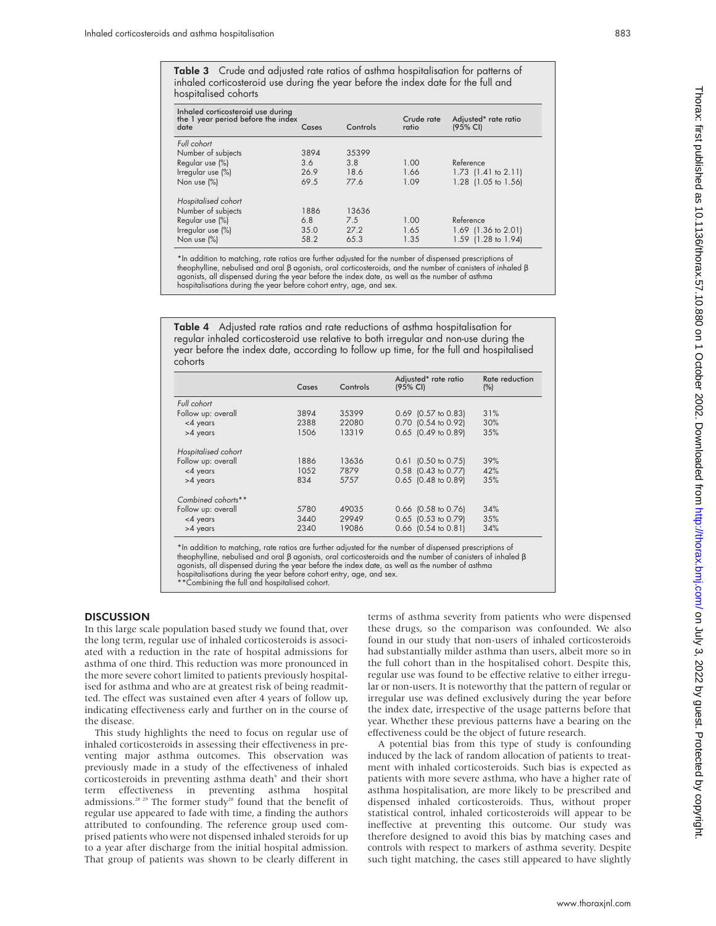Table 3 Crude and adjusted rate ratios of asthma hospitalisation for patterns of inhaled corticosteroid use during the year before the index date for the full and hospitalised cohorts

| Inhaled corticosteroid use during<br>the 1 year period before the index<br>date | Cases | Controls | Crude rate<br>ratio | Adjusted* rate ratio<br>$(95%$ CI) |
|---------------------------------------------------------------------------------|-------|----------|---------------------|------------------------------------|
| Full cohort                                                                     |       |          |                     |                                    |
| Number of subjects                                                              | 3894  | 35399    |                     |                                    |
| Regular use (%)                                                                 | 3.6   | 3.8      | 1.00                | Reference                          |
| Irregular use (%)                                                               | 26.9  | 18.6     | 1.66                | 1.73 $(1.41 \text{ to } 2.11)$     |
| Non use (%)                                                                     | 69.5  | 77.6     | 1.09                | 1.28 (1.05 to 1.56)                |
| Hospitalised cohort                                                             |       |          |                     |                                    |
| Number of subjects                                                              | 1886  | 13636    |                     |                                    |
| Regular use (%)                                                                 | 6.8   | 7.5      | 1.00                | Reference                          |
| Irregular use (%)                                                               | 35.0  | 27.2     | 1.65                | 1.69 (1.36 to 2.01)                |
| Non use (%)                                                                     | 58.2  | 65.3     | 1.35                | 1.59 (1.28 to 1.94)                |

\*In addition to matching, rate ratios are further adjusted for the number of dispensed prescriptions of theophylline, nebulised and oral β agonists, oral corticosteroids, and the number of canisters of inhaled β agonists, all dispensed during the year before the index date, as well as the number of asthma hospitalisations during the year before cohort entry, age, and sex.

Table 4 Adjusted rate ratios and rate reductions of asthma hospitalisation for regular inhaled corticosteroid use relative to both irregular and non-use during the year before the index date, according to follow up time, for the full and hospitalised cohorts

|                     | Cases | Controls | Adjusted* rate ratio<br>(95% CI) | Rate reduction<br>$(\%)$ |
|---------------------|-------|----------|----------------------------------|--------------------------|
| Full cohort         |       |          |                                  |                          |
| Follow up: overall  | 3894  | 35399    | $0.69$ (0.57 to 0.83)            | 31%                      |
| $<$ 4 years         | 2388  | 22080    | $0.70$ $(0.54$ to $0.92)$        | 30%                      |
| $>4$ years          | 1506  | 13319    | 0.65 (0.49 to 0.89)              | 35%                      |
| Hospitalised cohort |       |          |                                  |                          |
| Follow up: overall  | 1886  | 13636    | $0.61$ (0.50 to 0.75)            | 39%                      |
| <4 years            | 1052  | 7879     | $0.58$ $(0.43$ to $0.77)$        | 42%                      |
| $>4$ years          | 834   | 5757     | 0.65 (0.48 to 0.89)              | 35%                      |
| Combined cohorts**  |       |          |                                  |                          |
| Follow up: overall  | 5780  | 49035    | $0.66$ $(0.58 \text{ to } 0.76)$ | 34%                      |
| <4 years            | 3440  | 29949    | $0.65$ (0.53 to 0.79)            | 35%                      |
| $>4$ years          | 2340  | 19086    | $0.66$ $(0.54$ to $0.81)$        | 34%                      |

\*In addition to matching, rate ratios are further adjusted for the number of dispensed prescriptions of theophylline, nebulised and oral β agonists, oral corticosteroids and the number of canisters of inhaled β agonists, all dispensed during the year before the index date, as well as the number of asthma hospitalisations during the year before cohort entry, age, and sex. \*\*Combining the full and hospitalised cohort.

## **DISCUSSION**

In this large scale population based study we found that, over the long term, regular use of inhaled corticosteroids is associated with a reduction in the rate of hospital admissions for asthma of one third. This reduction was more pronounced in the more severe cohort limited to patients previously hospitalised for asthma and who are at greatest risk of being readmitted. The effect was sustained even after 4 years of follow up, indicating effectiveness early and further on in the course of the disease.

This study highlights the need to focus on regular use of inhaled corticosteroids in assessing their effectiveness in preventing major asthma outcomes. This observation was previously made in a study of the effectiveness of inhaled corticosteroids in preventing asthma death<sup>9</sup> and their short term effectiveness in preventing asthma hospital admissions.<sup>28 29</sup> The former study<sup>28</sup> found that the benefit of regular use appeared to fade with time, a finding the authors attributed to confounding. The reference group used comprised patients who were not dispensed inhaled steroids for up to a year after discharge from the initial hospital admission. That group of patients was shown to be clearly different in

terms of asthma severity from patients who were dispensed these drugs, so the comparison was confounded. We also found in our study that non-users of inhaled corticosteroids had substantially milder asthma than users, albeit more so in the full cohort than in the hospitalised cohort. Despite this, regular use was found to be effective relative to either irregular or non-users. It is noteworthy that the pattern of regular or irregular use was defined exclusively during the year before the index date, irrespective of the usage patterns before that year. Whether these previous patterns have a bearing on the effectiveness could be the object of future research.

A potential bias from this type of study is confounding induced by the lack of random allocation of patients to treatment with inhaled corticosteroids. Such bias is expected as patients with more severe asthma, who have a higher rate of asthma hospitalisation, are more likely to be prescribed and dispensed inhaled corticosteroids. Thus, without proper statistical control, inhaled corticosteroids will appear to be ineffective at preventing this outcome. Our study was therefore designed to avoid this bias by matching cases and controls with respect to markers of asthma severity. Despite such tight matching, the cases still appeared to have slightly